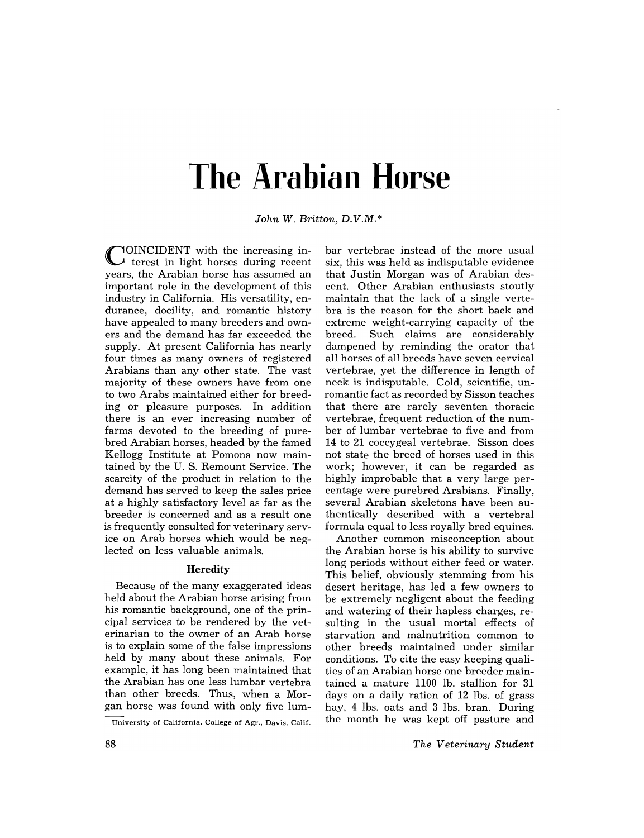# **The Arabian Horse**

*John W. Britton, D.V.M.\** 

COINCIDENT with the increasing in-terest in light horses during recent years, the Arabian horse has assumed an important role in the development of this industry in California. His versatility, endurance, docility, and romantic history have appealed to many breeders and owners and the demand has far exceeded the supply. At present California has nearly four times as many owners of registered Arabians than any other state. The vast majority of these owners have from one to two Arabs maintained either for breeding or pleasure purposes. In addition there is an ever increasing number of farms devoted to the breeding of purebred Arabian horses, headed by the famed Kellogg Institute at Pomona now maintained by the U. S. Remount Service. The scarcity of the product in relation to the demand has served to keep the sales price at a highly satisfactory level as far as the breeder is concerned and as a result one is frequently consulted for veterinary service on Arab horses which would be neglected on less valuable animals.

# **Heredity**

Because of the many exaggerated ideas held about the Arabian horse arising from his romantic background, one of the principal services to be rendered by the veterinarian to the owner of an Arab horse is to explain some of the false impressions held by many about these animals. For example, it has long been maintained that the Arabian has one less lumbar vertebra than other breeds. Thus, when a Morgan horse was found with only five lum-

bar vertebrae instead of the more usual six, this was held as indisputable evidence that Justin Morgan was of Arabian descent. Other Arabian enthusiasts stoutly maintain that the lack of a single vertebra is the reason for the short back and extreme weight-carrying capacity of the breed. Such claims are considerably dampened by reminding the orator that all horses of all breeds have seven cervical vertebrae, yet the difference in length of neck is indisputable. Cold, scientific, unromantic fact as recorded by Sisson teaches that there are rarely seventen thoracic vertebrae, frequent reduction of the number of lumbar vertebrae to five and from 14 to 21 coccygeal vertebrae. Sisson does not state the breed of horses used in this work; however, it can be regarded as highly improbable that a very large percentage were purebred Arabians. Finally, several Arabian skeletons have been authentically described with a vertebral formula equal to less royally bred equines.

Another common misconception about the Arabian horse is his ability to survive long periods without either feed or water. This belief, obviously stemming from his desert heritage, has led a few owners to be extremely negligent about the feeding and watering of their hapless charges, resulting in the usual mortal effects of starvation and malnutrition common to other breeds maintained under similar conditions. To cite the easy keeping qualities of an Arabian horse one breeder maintained a mature 1100 lb. stallion for 31 days on a daily ration of 12 lbs. of grass hay, 4 lbs. oats and 3 1bs. bran. During the month he was kept off pasture and

University of California, College of Agr., Davis, Calif.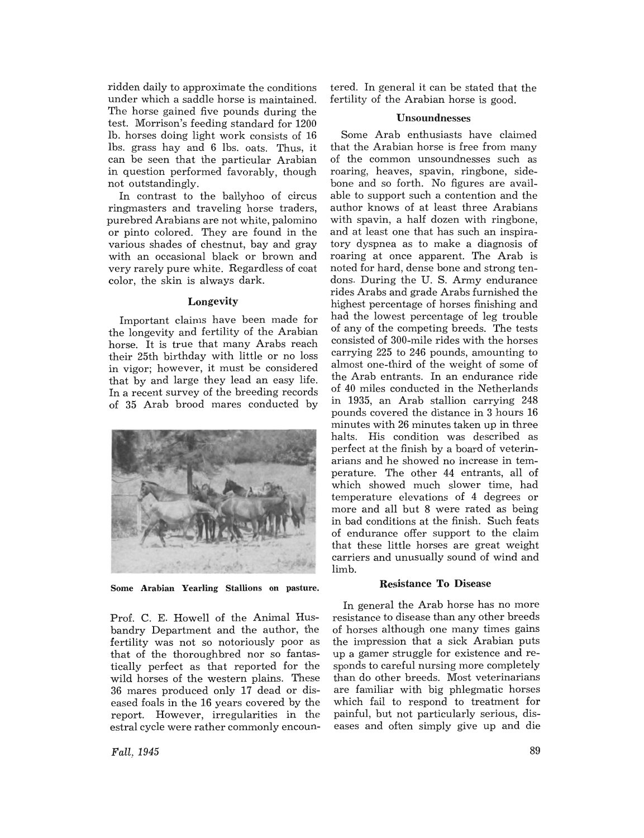ridden daily to approximate the conditions under which a saddle horse is maintained. The horse gained five pounds during the test. Morrison's feeding standard for 1200 lb. horses doing light work consists of 16 Ibs. grass hay and 6 lbs. oats. Thus, it can be seen that the particular Arabian in question performed favorably, though not outstandingly.

In contrast to the ballyhoo of circus ringmasters and traveling horse traders, purebred Arabians are not white, palomino or pinto colored. They are found in the various shades of chestnut, bay and gray with an occasional black or brown and very rarely pure white. Regardless of coat color, the skin is always dark.

# Longevity

Important claims have been made for the longevity and fertility of the Arabian horse. It is true that many Arabs reach their 25th birthday with little or no loss in vigor; however, it must be considered that by and large they lead an easy life. In a recent survey of the breeding records of 35 Arab brood mares conducted by



Some Arabian Yearling Stallions on pasture.

Prof. C. E. Howell of the Animal Husbandry Department and the author, the fertility was not so notoriously poor as that of the thoroughbred nor so fantastically perfect as that reported for the wild horses of the western plains. These 36 mares produced only 17 dead or diseased foals in the 16 years covered by the report. However, irregularities in the estral cycle were rather commonly encountered. In general it can be stated that the fertility of the Arabian horse is good.

#### Unsoundnesses

Some Arab enthusiasts have claimed that the Arabian horse is free from many of the common unsoundnesses such as roaring, heaves, spavin, ringbone, sidebone and so forth. No figures are available to support such a contention and the author knows of at least three Arabians with spavin, a half dozen with ringbone, and at least one that has such an inspiratory dyspnea as to make a diagnosis of roaring at once apparent. The Arab is noted for hard, dense bone and strong tendons. During the U. S. Army endurance rides Arabs and grade Arabs furnished the highest percentage of horses finishing and had the lowest percentage of leg trouble of any of the competing breeds. The tests consisted of 300-mile rides with the horses carrying 225 to 246 pounds, amounting to almost one-third of the weight of some of the Arab entrants. In an endurance ride of 40 miles conducted in the Netherlands in 1935, an Arab stallion carrying 248 pounds covered the distance in 3 hours 16 minutes with 26 minutes taken up in three halts. His condition was described as perfect at the finish by a board of veterinarians and he showed no increase in temperature. The other 44 entrants, all of which showed much slower time, had temperature elevations of 4 degrees or more and all but 8 were rated as being in bad conditions at the finish. Such feats of endurance offer support to the claim that these little horses are great weight carriers and unusually sound of wind and limb.

## Resistance **To** Disease

In general the Arab horse has no more resistance to disease than any other breeds of horses although one many times gains the impression that a sick Arabian puts up a gamer struggle for existence and responds to careful nursing more completely than do other breeds. Most veterinarians are familiar with big phlegmatic horses which fail to respond to treatment for painful, but not particularly serious, diseases and often simply give up and die